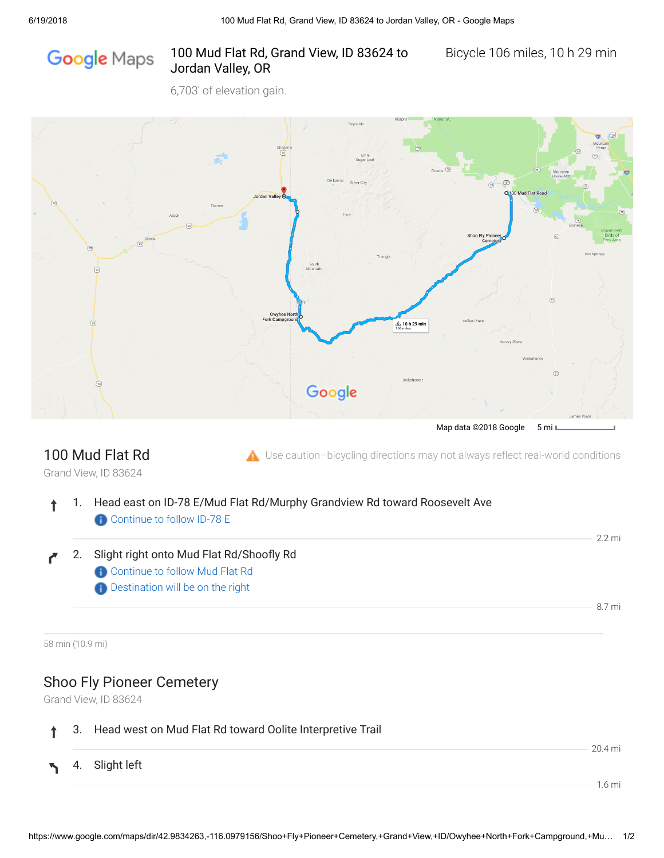# Google Maps

#### 100 Mud Flat Rd, Grand View, ID 83624 to Bicycle 106 miles, 10 h 29 min Jordan Valley, OR

6,703' of elevation gain.



## 100 Mud Flat Rd

 $\triangle$  Use caution-bicycling directions may not always reflect real-world conditions

Grand View, ID 83624

- 1. Head east on ID-78 E/Mud Flat Rd/Murphy Grandview Rd toward Roosevelt Ave ↑ **Continue to follow ID-78 E**
- 2. Slight right onto Mud Flat Rd/Shoofly Rd Ĉ
	- **Continue to follow Mud Flat Rd**
	- **Destination will be on the right**

58 min (10.9 mi)

### Shoo Fly Pioneer Cemetery

Grand View, ID 83624

#### 3. Head west on Mud Flat Rd toward Oolite Interpretive Trail

4. Slight left

20.4 mi

2.2 mi

8.7 mi

1.6 mi